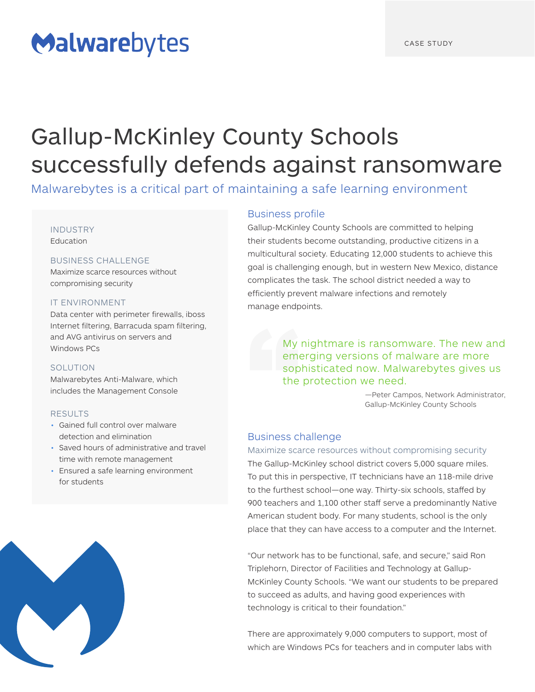# Malwarebytes

## Gallup-McKinley County Schools successfully defends against ransomware

Malwarebytes is a critical part of maintaining a safe learning environment

#### INDUSTRY

**Education** 

#### BUSINESS CHALLENGE

Maximize scarce resources without compromising security

#### IT ENVIRONMENT

Data center with perimeter firewalls, iboss Internet filtering, Barracuda spam filtering, and AVG antivirus on servers and Windows PCs

#### SOLUTION

Malwarebytes Anti-Malware, which includes the Management Console

#### RESULTS

- Gained full control over malware detection and elimination
- Saved hours of administrative and travel time with remote management
- Ensured a safe learning environment for students



#### Business profile

Gallup-McKinley County Schools are committed to helping their students become outstanding, productive citizens in a multicultural society. Educating 12,000 students to achieve this goal is challenging enough, but in western New Mexico, distance complicates the task. The school district needed a way to efficiently prevent malware infections and remotely manage endpoints.

> My nightmare is ransomware. The new and emerging versions of malware are more sophisticated now. Malwarebytes gives us the protection we need.

> > —Peter Campos, Network Administrator, Gallup-McKinley County Schools

#### Business challenge

Maximize scarce resources without compromising security The Gallup-McKinley school district covers 5,000 square miles. To put this in perspective, IT technicians have an 118-mile drive to the furthest school—one way. Thirty-six schools, staffed by 900 teachers and 1,100 other staff serve a predominantly Native American student body. For many students, school is the only place that they can have access to a computer and the Internet.

"Our network has to be functional, safe, and secure," said Ron Triplehorn, Director of Facilities and Technology at Gallup-McKinley County Schools. "We want our students to be prepared to succeed as adults, and having good experiences with technology is critical to their foundation."

There are approximately 9,000 computers to support, most of which are Windows PCs for teachers and in computer labs with